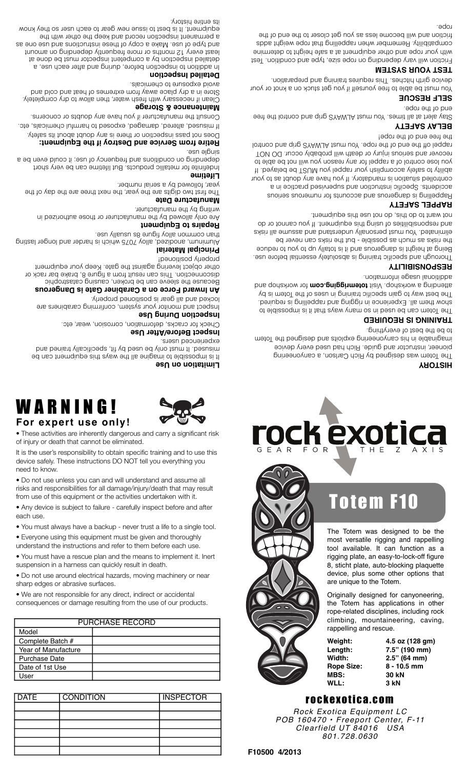*Rock Exotica Equipment LC POB 160470 • Freeport Center, F-11 Clearfield UT 84016 801.728.0630*

**WLL:! ! 3 kN**

rope-related disciplines, including rock climbing, mountaineering, caving, rappelling and rescue. **Weight:!! 4.5 oz (128 gm) Length:!! 7.5" (190 mm) Width:**<br>**Prope Size: 2.5" (64 mm)**<br>**Rope Size: 8 - 10.5 mm** Rope Size:<br>MBS:

**MBS: 30 kN**

device, plus some other options that are unique to the Totem.

Originally designed for canyoneering, the Totem has applications in other

The Totem was designed to be the most versatile rigging and rappelling tool available. It can function as a rigging plate, an easy-to-lock-off figure 8, sticht plate, auto-blocking plaquette

# Totem F10

**EXO**  $\overline{O}$  R F A R

## **HISTORY**

The Totem was designed by Rich Carlson, a canyoneering pioneer, instructor and guide. Rich had used every device imaginable in his canyoneering exploits and designed the Totem to be the best of everything.

# **TRAINING IS REQUIRED**

The Totem can be used in some ways that it is impossible to show them all. Experience in rigging and rappelling is required. The best way to gain specific training in uses of the Totem is by and a workshop. Visit **totemrigging.com** for workshop and additional usage information.

## **RESPONSIBILITY**

Thorough and specific training is absolutely essential before use. Being at height is dangerous and it is totally up to you to reduce the risks as much as possible - but the risks can never be eliminated. You must personally understand and assume all risks and responsibilities of using this equipment. If you cannot or do not want to do this, do not use this equipment.

## **RAPPEL SAFETY**

Rappelling is dangerous and accounts for numerous serious accidents. Specific instruction and supervised practice in a controlled situation is mandatory. If you have any doubt as to your ability to safely accomplish your rappel you MUST be belayed. If you lose control of a rappel for any reason you will not be able to recover and serious injury or death will probably occur. DO NOT lottnoo bns qitg 2YAWJA teum uoY .aqot adt to bna adt tho laqqst

## the free end of the rope! **BELAY SAFETY**

Stay alert at all times. You must ALWAYS grip and control the free

### end of the rope. **SELF RESCUE**

You must be able to free yourself if you get stuck on a knot or your device girth hitches. This requires training and preparation.

## **TEST YOUR SYSTEM**

Friction will vary depending on rope size, type and condition. Test with your rope and other equipment at a safe height to determine compatibility. Remember when rappelling that rope weight adds friction and will become less as you get closer to the end of the rope.



each use.

• Everyone using this equipment must be given and thoroughly understand the instructions and refer to them before each use.

• You must have a rescue plan and the means to implement it. Inert

• Do not use around electrical hazards, moving machinery or near

PURCHASE RECORD

DATE CONDITION INSPECTOR

• We are not responsible for any direct, indirect or accidental consequences or damage resulting from the use of our products.

• You must always have a backup - never trust a life to a single tool.

• Any device is subject to failure - carefully inspect before and after

device safely. These instructions DO NOT tell you everything you need to know.

suspension in a harness can quickly result in death.

sharp edges or abrasive surfaces.

Model

User

Complete Batch # Year of Manufacture Purchase Date Date of 1st Use

WARNING!

**For expert use only!**

# • These activities are inherently dangerous and carry a significant risk of injury or death that cannot be eliminated. It is the user's responsibility to obtain specific training and to use this











writing by the manufacturer.

**Manufacture Date**

**Lifetime**

sin əlguls

# **Repairs to Equipment**

year, followed by a serial number.

**Maintenance & Storage**

avoid exposure to chemicals. **Detailed Inspection**

its entire history.

Are only allowed by the manufacturer or those authorized in

The first two digits are the year, the next three are the day of the

Indefinite for metallic products. But lifetime can be very short depending on conditions and frequency of use; it could even be a

**Retire from Service and Destroy if the Equipment:** Does not pass inspection or there is any doubt about its safety. If misused, altered, damaged, exposed to harmful chemicals, etc. Consult the manufacturer if you have any doubts or concerns.

Clean if necessary with fresh water, then allow to dry completely. Store in a dry place away from extremes of heat and cold and

In addition to inspection before, during and after each use, a detailed inspection by a competent inspector must be done at least every 12 months or more frequently depending on amount and type of use. Make a copy of these instructions and use one as a permanent inspection record and keep the other with the equipment. It is best to issue new gear to each user so they know

# Aluminum, anodized, alloy 7075 which is harder and longer lasting

locked and all gear is positioned properly.

# disconnection. This can result from a figure 8, brake bar rack or other object levering against the gate. Keep your equipment properly positioned!

Because the sleeve can be broken, causing catastrophic

Inspect and monitor your system, confirming carabiners are

**An Inward Force on a Carabiner Gate is Dangerous**

**Principal Material**  than common alloy figure 8s usually use.